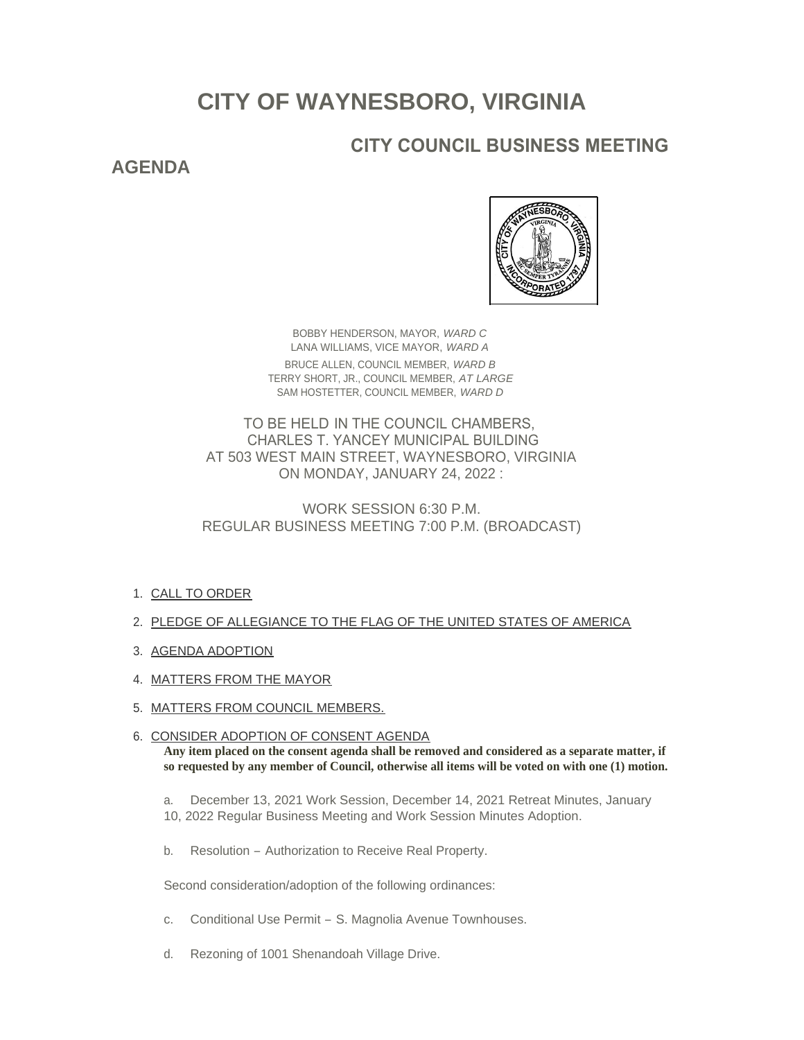# **CITY OF WAYNESBORO, VIRGINIA**

# **CITY COUNCIL BUSINESS MEETING**

# **AGENDA**



BOBBY HENDERSON, MAYOR, *WARD C* LANA WILLIAMS, VICE MAYOR, *WARD A* BRUCE ALLEN, COUNCIL MEMBER, *WARD B* TERRY SHORT, JR., COUNCIL MEMBER, *AT LARGE* SAM HOSTETTER, COUNCIL MEMBER, *WARD D*

TO BE HELD IN THE COUNCIL CHAMBERS, CHARLES T. YANCEY MUNICIPAL BUILDING AT 503 WEST MAIN STREET, WAYNESBORO, VIRGINIA ON MONDAY, JANUARY 24, 2022 :

WORK SESSION 6:30 P.M. REGULAR BUSINESS MEETING 7:00 P.M. (BROADCAST)

- 1. <u>CALL TO ORDER</u>
- 2. PLEDGE OF ALLEGIANCE TO THE FLAG OF THE UNITED STATES OF AMERICA
- 3. AGENDA ADOPTION
- 4. MATTERS FROM THE MAYOR
- 5. <u>MATTERS FROM COUNCIL MEMBERS.</u>
- 6. CONSIDER ADOPTION OF CONSENT AGENDA **Any item placed on the consent agenda shall be removed and considered as a separate matter, if so requested by any member of Council, otherwise all items will be voted on with one (1) motion.**
	- a. December 13, 2021 Work Session, December 14, 2021 Retreat Minutes, January 10, 2022 Regular Business Meeting and Work Session Minutes Adoption.
	- b. Resolution Authorization to Receive Real Property.

Second consideration/adoption of the following ordinances:

- c. Conditional Use Permit S. Magnolia Avenue Townhouses.
- d. Rezoning of 1001 Shenandoah Village Drive.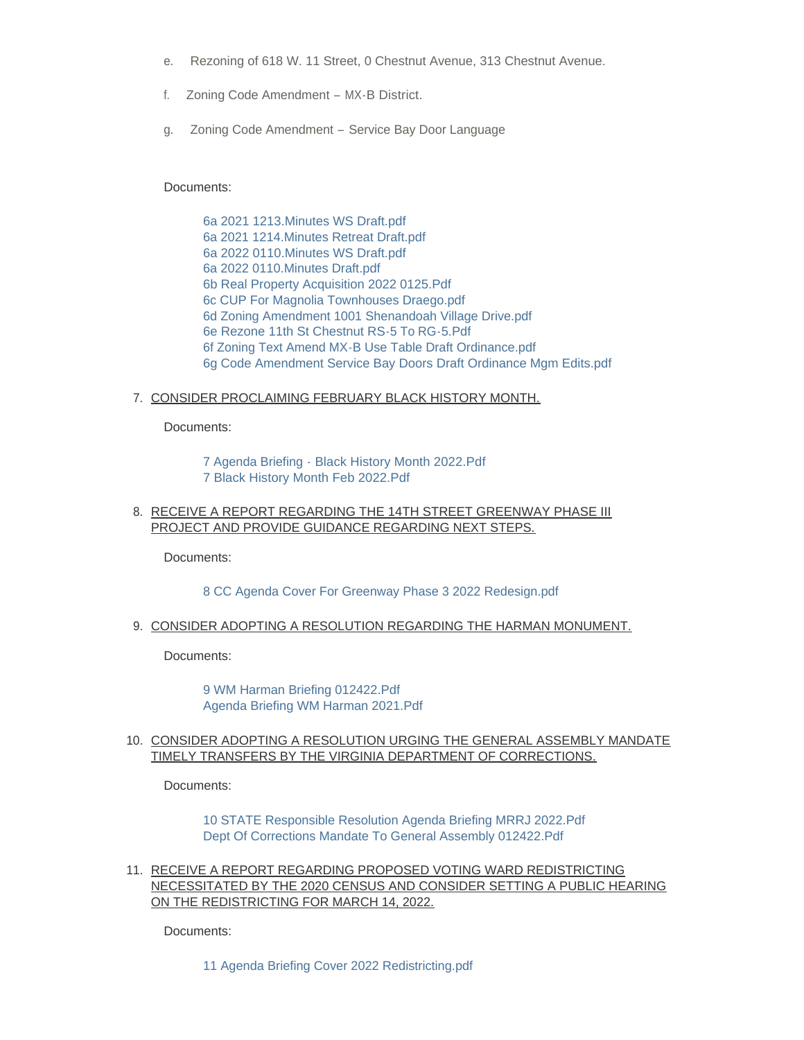- e. Rezoning of 618 W. 11 Street, 0 Chestnut Avenue, 313 Chestnut Avenue.
- f. Zoning Code Amendment MX-B District.
- g. Zoning Code Amendment Service Bay Door Language

#### Documents:

[6a 2021 1213.Minutes WS Draft.pdf](https://www.waynesboro.va.us/AgendaCenter/ViewFile/Item/4549?fileID=43115) [6a 2021 1214.Minutes Retreat Draft.pdf](https://www.waynesboro.va.us/AgendaCenter/ViewFile/Item/4549?fileID=43116) [6a 2022 0110.Minutes WS Draft.pdf](https://www.waynesboro.va.us/AgendaCenter/ViewFile/Item/4549?fileID=43118) [6a 2022 0110.Minutes Draft.pdf](https://www.waynesboro.va.us/AgendaCenter/ViewFile/Item/4549?fileID=43117) [6b Real Property Acquisition 2022 0125.Pdf](https://www.waynesboro.va.us/AgendaCenter/ViewFile/Item/4549?fileID=43119) [6c CUP For Magnolia Townhouses Draego.pdf](https://www.waynesboro.va.us/AgendaCenter/ViewFile/Item/4549?fileID=43120) [6d Zoning Amendment 1001 Shenandoah Village Drive.pdf](https://www.waynesboro.va.us/AgendaCenter/ViewFile/Item/4549?fileID=43121) [6e Rezone 11th St Chestnut RS-5 To RG-5.Pdf](https://www.waynesboro.va.us/AgendaCenter/ViewFile/Item/4549?fileID=43122) [6f Zoning Text Amend MX-B Use Table Draft Ordinance.pdf](https://www.waynesboro.va.us/AgendaCenter/ViewFile/Item/4549?fileID=43123) [6g Code Amendment Service Bay Doors Draft Ordinance Mgm Edits.pdf](https://www.waynesboro.va.us/AgendaCenter/ViewFile/Item/4549?fileID=43124)

## <u>7. CONSIDER PROCLAIMING FEBRUARY BLACK HISTORY MONTH.</u>

Documents:

[7 Agenda Briefing - Black History Month 2022.Pdf](https://www.waynesboro.va.us/AgendaCenter/ViewFile/Item/4570?fileID=43125) [7 Black History Month Feb 2022.Pdf](https://www.waynesboro.va.us/AgendaCenter/ViewFile/Item/4570?fileID=43126)

8. RECEIVE A REPORT REGARDING THE 14TH STREET GREENWAY PHASE III PROJECT AND PROVIDE GUIDANCE REGARDING NEXT STEPS.

Documents:

### [8 CC Agenda Cover For Greenway Phase 3 2022 Redesign.pdf](https://www.waynesboro.va.us/AgendaCenter/ViewFile/Item/4571?fileID=43127)

9. <u>CONSIDER ADOPTING A RESOLUTION REGARDING THE HARMAN MONUMENT.</u>

Documents:

[9 WM Harman Briefing 012422.Pdf](https://www.waynesboro.va.us/AgendaCenter/ViewFile/Item/4572?fileID=43129) [Agenda Briefing WM Harman 2021.Pdf](https://www.waynesboro.va.us/AgendaCenter/ViewFile/Item/4572?fileID=43128)

#### 10. CONSIDER ADOPTING A RESOLUTION URGING THE GENERAL ASSEMBLY MANDATE TIMELY TRANSFERS BY THE VIRGINIA DEPARTMENT OF CORRECTIONS.

Documents:

[10 STATE Responsible Resolution Agenda Briefing MRRJ 2022.Pdf](https://www.waynesboro.va.us/AgendaCenter/ViewFile/Item/4573?fileID=43130) [Dept Of Corrections Mandate To General Assembly 012422.Pdf](https://www.waynesboro.va.us/AgendaCenter/ViewFile/Item/4573?fileID=43131)

11. RECEIVE A REPORT REGARDING PROPOSED VOTING WARD REDISTRICTING NECESSITATED BY THE 2020 CENSUS AND CONSIDER SETTING A PUBLIC HEARING ON THE REDISTRICTING FOR MARCH 14, 2022.

Documents:

[11 Agenda Briefing Cover 2022 Redistricting.pdf](https://www.waynesboro.va.us/AgendaCenter/ViewFile/Item/4574?fileID=43132)